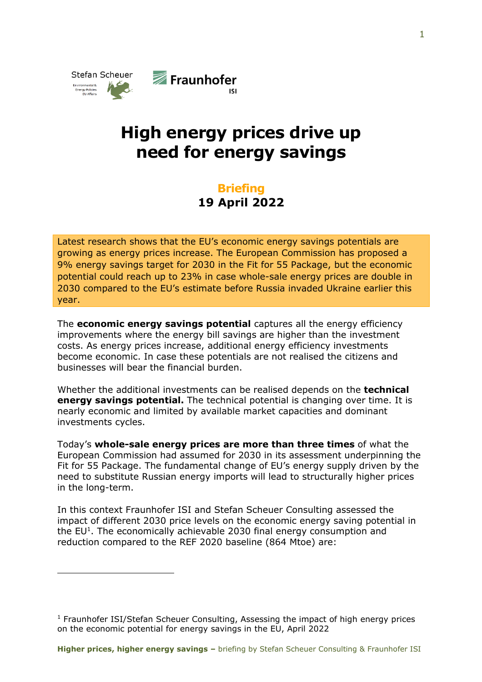

## High energy prices drive up need for energy savings

## **Briefing** 19 April 2022

Latest research shows that the EU's economic energy savings potentials are growing as energy prices increase. The European Commission has proposed a 9% energy savings target for 2030 in the Fit for 55 Package, but the economic potential could reach up to 23% in case whole-sale energy prices are double in 2030 compared to the EU's estimate before Russia invaded Ukraine earlier this year.

The **economic energy savings potential** captures all the energy efficiency improvements where the energy bill savings are higher than the investment costs. As energy prices increase, additional energy efficiency investments become economic. In case these potentials are not realised the citizens and businesses will bear the financial burden.

Whether the additional investments can be realised depends on the **technical** energy savings potential. The technical potential is changing over time. It is nearly economic and limited by available market capacities and dominant investments cycles.

Today's whole-sale energy prices are more than three times of what the European Commission had assumed for 2030 in its assessment underpinning the Fit for 55 Package. The fundamental change of EU's energy supply driven by the need to substitute Russian energy imports will lead to structurally higher prices in the long-term.

In this context Fraunhofer ISI and Stefan Scheuer Consulting assessed the impact of different 2030 price levels on the economic energy saving potential in the  $EU<sup>1</sup>$ . The economically achievable 2030 final energy consumption and reduction compared to the REF 2020 baseline (864 Mtoe) are:

<sup>&</sup>lt;sup>1</sup> Fraunhofer ISI/Stefan Scheuer Consulting, Assessing the impact of high energy prices on the economic potential for energy savings in the EU, April 2022